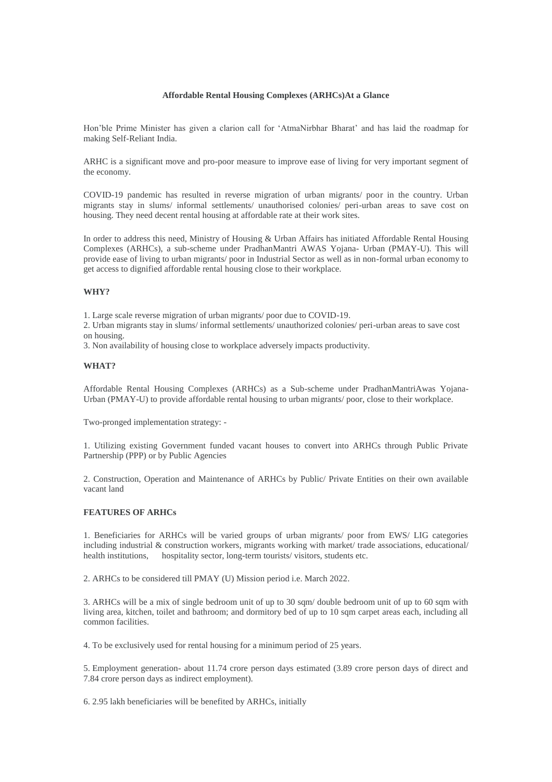## **Affordable Rental Housing Complexes (ARHCs)At a Glance**

Hon'ble Prime Minister has given a clarion call for 'AtmaNirbhar Bharat' and has laid the roadmap for making Self-Reliant India.

ARHC is a significant move and pro-poor measure to improve ease of living for very important segment of the economy.

COVID-19 pandemic has resulted in reverse migration of urban migrants/ poor in the country. Urban migrants stay in slums/ informal settlements/ unauthorised colonies/ peri-urban areas to save cost on housing. They need decent rental housing at affordable rate at their work sites.

In order to address this need, Ministry of Housing & Urban Affairs has initiated Affordable Rental Housing Complexes (ARHCs), a sub-scheme under PradhanMantri AWAS Yojana- Urban (PMAY-U). This will provide ease of living to urban migrants/ poor in Industrial Sector as well as in non-formal urban economy to get access to dignified affordable rental housing close to their workplace.

## **WHY?**

1. Large scale reverse migration of urban migrants/ poor due to COVID-19.

2. Urban migrants stay in slums/ informal settlements/ unauthorized colonies/ peri-urban areas to save cost on housing.

3. Non availability of housing close to workplace adversely impacts productivity.

#### **WHAT?**

Affordable Rental Housing Complexes (ARHCs) as a Sub-scheme under PradhanMantriAwas Yojana-Urban (PMAY-U) to provide affordable rental housing to urban migrants/ poor, close to their workplace.

Two-pronged implementation strategy: -

1. Utilizing existing Government funded vacant houses to convert into ARHCs through Public Private Partnership (PPP) or by Public Agencies

2. Construction, Operation and Maintenance of ARHCs by Public/ Private Entities on their own available vacant land

#### **FEATURES OF ARHCs**

1. Beneficiaries for ARHCs will be varied groups of urban migrants/ poor from EWS/ LIG categories including industrial & construction workers, migrants working with market/ trade associations, educational/ health institutions, hospitality sector, long-term tourists/ visitors, students etc.

2. ARHCs to be considered till PMAY (U) Mission period i.e. March 2022.

3. ARHCs will be a mix of single bedroom unit of up to 30 sqm/ double bedroom unit of up to 60 sqm with living area, kitchen, toilet and bathroom; and dormitory bed of up to 10 sqm carpet areas each, including all common facilities.

4. To be exclusively used for rental housing for a minimum period of 25 years.

5. Employment generation- about 11.74 crore person days estimated (3.89 crore person days of direct and 7.84 crore person days as indirect employment).

6. 2.95 lakh beneficiaries will be benefited by ARHCs, initially